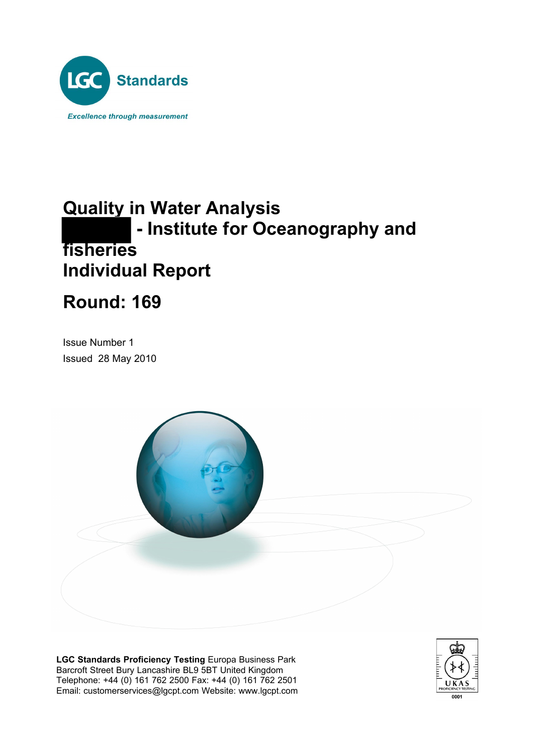

## **Quality in Water Analysis - Institute for Oceanography and fisheries Individual Report**

# **Round: 169**

Issue Number 1 Issued 28 May 2010



**LGC Standards Proficiency Testing** Europa Business Park Barcroft Street Bury Lancashire BL9 5BT United Kingdom Telephone: +44 (0) 161 762 2500 Fax: +44 (0) 161 762 2501 Email: customerservices@lgcpt.com Website: www.lgcpt.com

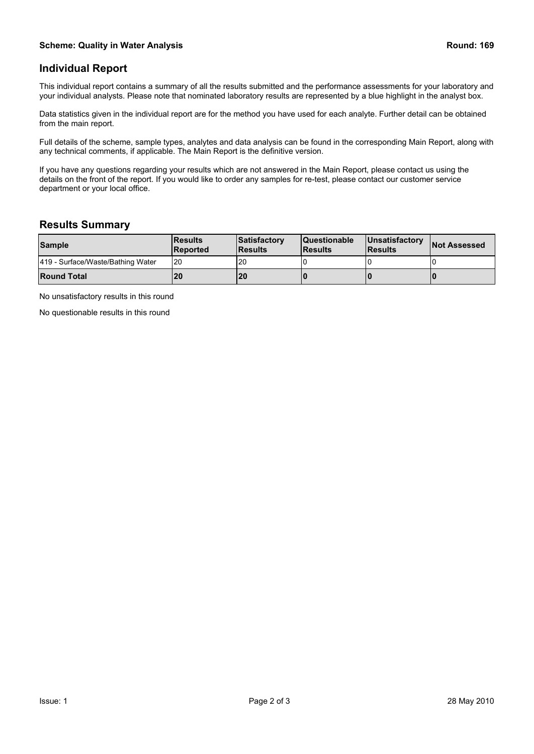### **Individual Report**

This individual report contains a summary of all the results submitted and the performance assessments for your laboratory and your individual analysts. Please note that nominated laboratory results are represented by a blue highlight in the analyst box.

Data statistics given in the individual report are for the method you have used for each analyte. Further detail can be obtained from the main report.

Full details of the scheme, sample types, analytes and data analysis can be found in the corresponding Main Report, along with any technical comments, if applicable. The Main Report is the definitive version.

If you have any questions regarding your results which are not answered in the Main Report, please contact us using the details on the front of the report. If you would like to order any samples for re-test, please contact our customer service department or your local office.

#### **Results Summary**

| <b>Sample</b>                     | <b>IResults</b><br><b>IReported</b> | Satisfactory<br><b>IResults</b> | <b>Questionable</b><br><b>IResults</b> | <b>IUnsatisfactory</b><br><b>IResults</b> | <b>Not Assessed</b> |  |
|-----------------------------------|-------------------------------------|---------------------------------|----------------------------------------|-------------------------------------------|---------------------|--|
| 419 - Surface/Waste/Bathing Water | I20                                 | -20                             |                                        |                                           |                     |  |
| <b>Round Total</b>                | l20                                 | <b>20</b>                       |                                        |                                           |                     |  |

No unsatisfactory results in this round

No questionable results in this round